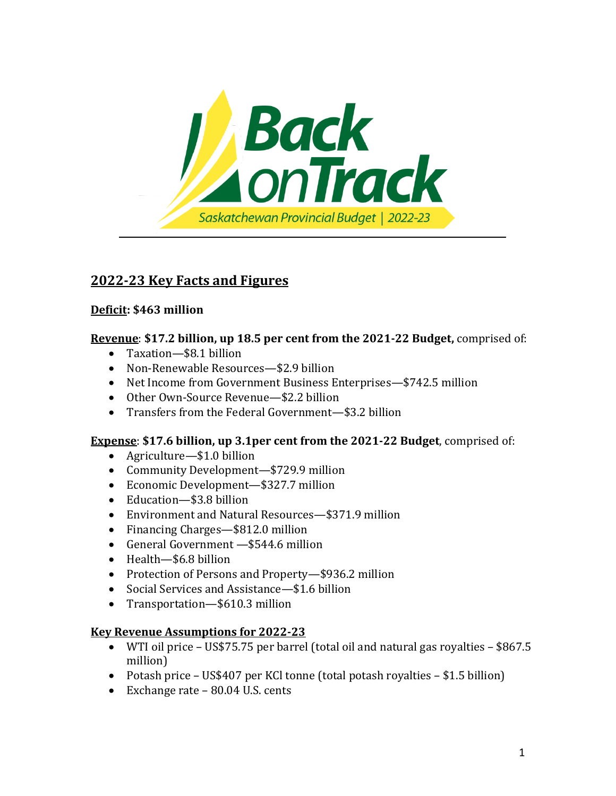

# **2022-23 Key Facts and Figures**

## **Deficit: \$463 million**

### **Revenue**: **\$17.2 billion, up 18.5 per cent from the 2021-22 Budget,** comprised of:

- Taxation—\$8.1 billion
- Non-Renewable Resources—\$2.9 billion
- Net Income from Government Business Enterprises—\$742.5 million
- Other Own-Source Revenue—\$2.2 billion
- Transfers from the Federal Government—\$3.2 billion

### **Expense**: **\$17.6 billion, up 3.1per cent from the 2021-22 Budget**, comprised of:

- Agriculture—\$1.0 billion
- Community Development—\$729.9 million
- Economic Development—\$327.7 million
- Education—\$3.8 billion
- Environment and Natural Resources—\$371.9 million
- Financing Charges—\$812.0 million
- General Government —\$544.6 million
- Health-\$6.8 billion
- Protection of Persons and Property-\$936.2 million
- Social Services and Assistance—\$1.6 billion
- Transportation—\$610.3 million

### **Key Revenue Assumptions for 2022-23**

- WTI oil price US\$75.75 per barrel (total oil and natural gas royalties \$867.5 million)
- Potash price US\$407 per KCl tonne (total potash royalties \$1.5 billion)
- Exchange rate 80.04 U.S. cents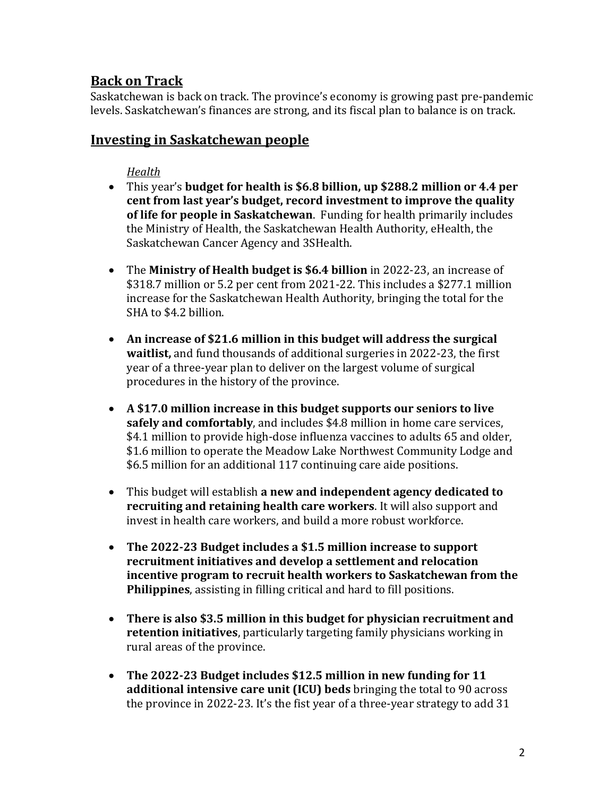## **Back on Track**

Saskatchewan is back on track. The province's economy is growing past pre-pandemic levels. Saskatchewan's finances are strong, and its fiscal plan to balance is on track.

## **Investing in Saskatchewan people**

### *Health*

- This year's **budget for health is \$6.8 billion, up \$288.2 million or 4.4 per cent from last year's budget, record investment to improve the quality of life for people in Saskatchewan**. Funding for health primarily includes the Ministry of Health, the Saskatchewan Health Authority, eHealth, the Saskatchewan Cancer Agency and 3SHealth.
- The **Ministry of Health budget is \$6.4 billion** in 2022-23, an increase of \$318.7 million or 5.2 per cent from 2021-22. This includes a \$277.1 million increase for the Saskatchewan Health Authority, bringing the total for the SHA to \$4.2 billion.
- **An increase of \$21.6 million in this budget will address the surgical waitlist,** and fund thousands of additional surgeries in 2022-23, the first year of a three-year plan to deliver on the largest volume of surgical procedures in the history of the province.
- **A \$17.0 million increase in this budget supports our seniors to live safely and comfortably**, and includes \$4.8 million in home care services, \$4.1 million to provide high-dose influenza vaccines to adults 65 and older, \$1.6 million to operate the Meadow Lake Northwest Community Lodge and \$6.5 million for an additional 117 continuing care aide positions.
- This budget will establish **a new and independent agency dedicated to recruiting and retaining health care workers**. It will also support and invest in health care workers, and build a more robust workforce.
- **The 2022-23 Budget includes a \$1.5 million increase to support recruitment initiatives and develop a settlement and relocation incentive program to recruit health workers to Saskatchewan from the Philippines**, assisting in filling critical and hard to fill positions.
- **There is also \$3.5 million in this budget for physician recruitment and retention initiatives**, particularly targeting family physicians working in rural areas of the province.
- **The 2022-23 Budget includes \$12.5 million in new funding for 11 additional intensive care unit (ICU) beds** bringing the total to 90 across the province in 2022-23. It's the fist year of a three-year strategy to add 31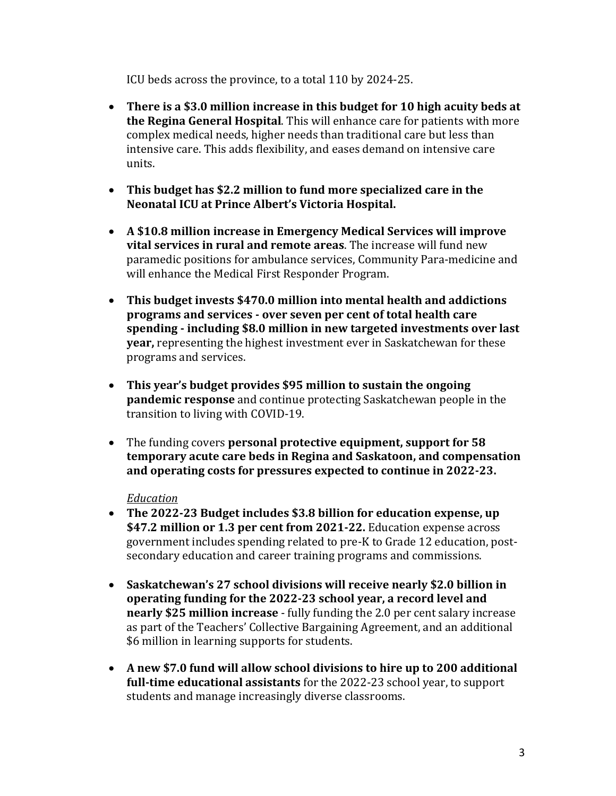ICU beds across the province, to a total 110 by 2024-25.

- **There is a \$3.0 million increase in this budget for 10 high acuity beds at the Regina General Hospital**. This will enhance care for patients with more complex medical needs, higher needs than traditional care but less than intensive care. This adds flexibility, and eases demand on intensive care units.
- **This budget has \$2.2 million to fund more specialized care in the Neonatal ICU at Prince Albert's Victoria Hospital.**
- **A \$10.8 million increase in Emergency Medical Services will improve vital services in rural and remote areas**. The increase will fund new paramedic positions for ambulance services, Community Para-medicine and will enhance the Medical First Responder Program.
- **This budget invests \$470.0 million into mental health and addictions programs and services - over seven per cent of total health care spending - including \$8.0 million in new targeted investments over last year,** representing the highest investment ever in Saskatchewan for these programs and services.
- **This year's budget provides \$95 million to sustain the ongoing pandemic response** and continue protecting Saskatchewan people in the transition to living with COVID-19.
- The funding covers **personal protective equipment, support for 58 temporary acute care beds in Regina and Saskatoon, and compensation and operating costs for pressures expected to continue in 2022-23.**

### *Education*

- **The 2022-23 Budget includes \$3.8 billion for education expense, up \$47.2 million or 1.3 per cent from 2021-22.** Education expense across government includes spending related to pre-K to Grade 12 education, postsecondary education and career training programs and commissions.
- **Saskatchewan's 27 school divisions will receive nearly \$2.0 billion in operating funding for the 2022-23 school year, a record level and nearly \$25 million increase** - fully funding the 2.0 per cent salary increase as part of the Teachers' Collective Bargaining Agreement, and an additional \$6 million in learning supports for students.
- **A new \$7.0 fund will allow school divisions to hire up to 200 additional full-time educational assistants** for the 2022-23 school year, to support students and manage increasingly diverse classrooms.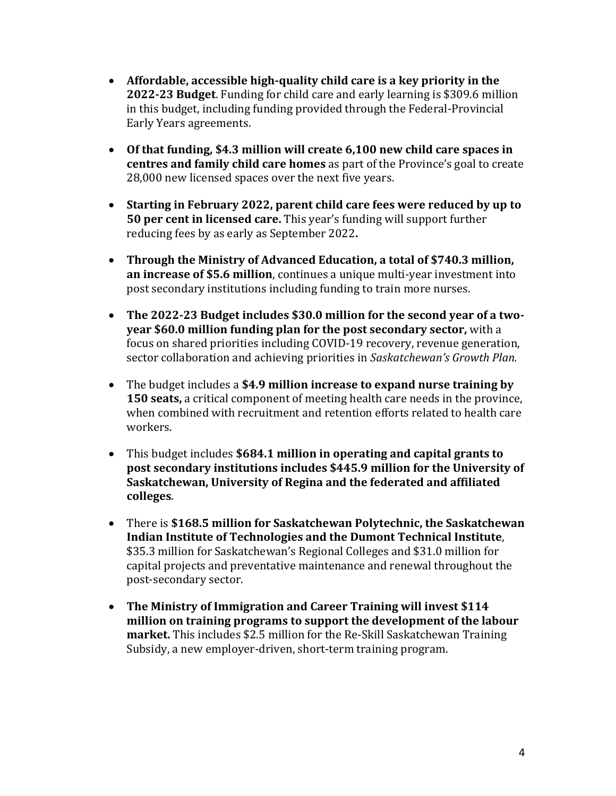- **Affordable, accessible high-quality child care is a key priority in the 2022-23 Budget**. Funding for child care and early learning is \$309.6 million in this budget, including funding provided through the Federal-Provincial Early Years agreements.
- **Of that funding, \$4.3 million will create 6,100 new child care spaces in centres and family child care homes** as part of the Province's goal to create 28,000 new licensed spaces over the next five years.
- **Starting in February 2022, parent child care fees were reduced by up to 50 per cent in licensed care.** This year's funding will support further reducing fees by as early as September 2022**.**
- **Through the Ministry of Advanced Education, a total of \$740.3 million, an increase of \$5.6 million**, continues a unique multi-year investment into post secondary institutions including funding to train more nurses.
- **The 2022-23 Budget includes \$30.0 million for the second year of a twoyear \$60.0 million funding plan for the post secondary sector,** with a focus on shared priorities including COVID-19 recovery, revenue generation, sector collaboration and achieving priorities in *Saskatchewan's Growth Plan.*
- The budget includes a **\$4.9 million increase to expand nurse training by 150 seats,** a critical component of meeting health care needs in the province, when combined with recruitment and retention efforts related to health care workers.
- This budget includes **\$684.1 million in operating and capital grants to post secondary institutions includes \$445.9 million for the University of Saskatchewan, University of Regina and the federated and affiliated colleges**.
- There is **\$168.5 million for Saskatchewan Polytechnic, the Saskatchewan Indian Institute of Technologies and the Dumont Technical Institute**, \$35.3 million for Saskatchewan's Regional Colleges and \$31.0 million for capital projects and preventative maintenance and renewal throughout the post-secondary sector.
- **The Ministry of Immigration and Career Training will invest \$114 million on training programs to support the development of the labour market.** This includes \$2.5 million for the Re-Skill Saskatchewan Training Subsidy, a new employer-driven, short-term training program.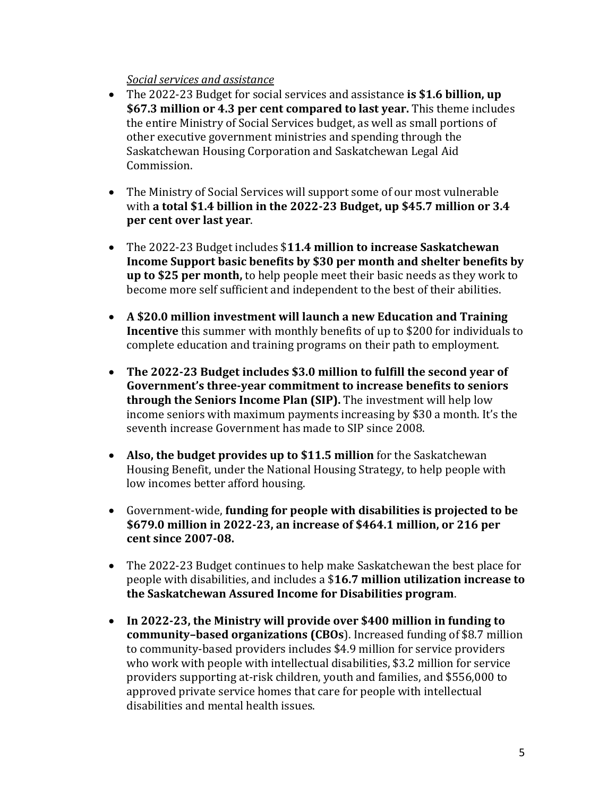### *Social services and assistance*

- The 2022-23 Budget for social services and assistance **is \$1.6 billion, up \$67.3 million or 4.3 per cent compared to last year.** This theme includes the entire Ministry of Social Services budget, as well as small portions of other executive government ministries and spending through the Saskatchewan Housing Corporation and Saskatchewan Legal Aid Commission.
- The Ministry of Social Services will support some of our most vulnerable with **a total \$1.4 billion in the 2022-23 Budget, up \$45.7 million or 3.4 per cent over last year**.
- The 2022-23 Budget includes \$**11.4 million to increase Saskatchewan Income Support basic benefits by \$30 per month and shelter benefits by up to \$25 per month,** to help people meet their basic needs as they work to become more self sufficient and independent to the best of their abilities.
- **A \$20.0 million investment will launch a new Education and Training Incentive** this summer with monthly benefits of up to \$200 for individuals to complete education and training programs on their path to employment.
- **The 2022-23 Budget includes \$3.0 million to fulfill the second year of Government's three-year commitment to increase benefits to seniors through the Seniors Income Plan (SIP).** The investment will help low income seniors with maximum payments increasing by \$30 a month. It's the seventh increase Government has made to SIP since 2008.
- **Also, the budget provides up to \$11.5 million** for the Saskatchewan Housing Benefit, under the National Housing Strategy, to help people with low incomes better afford housing.
- Government-wide, **funding for people with disabilities is projected to be \$679.0 million in 2022-23, an increase of \$464.1 million, or 216 per cent since 2007-08.**
- The 2022-23 Budget continues to help make Saskatchewan the best place for people with disabilities, and includes a \$**16.7 million utilization increase to the Saskatchewan Assured Income for Disabilities program**.
- **In 2022-23, the Ministry will provide over \$400 million in funding to community–based organizations (CBOs**). Increased funding of \$8.7 million to community-based providers includes \$4.9 million for service providers who work with people with intellectual disabilities, \$3.2 million for service providers supporting at-risk children, youth and families, and \$556,000 to approved private service homes that care for people with intellectual disabilities and mental health issues.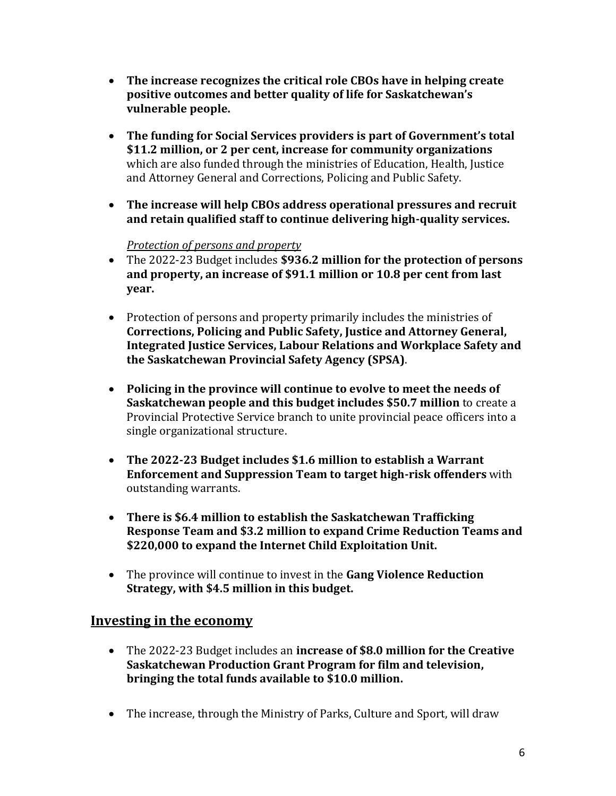- **The increase recognizes the critical role CBOs have in helping create positive outcomes and better quality of life for Saskatchewan's vulnerable people.**
- **The funding for Social Services providers is part of Government's total \$11.2 million, or 2 per cent, increase for community organizations** which are also funded through the ministries of Education, Health, Justice and Attorney General and Corrections, Policing and Public Safety.
- **The increase will help CBOs address operational pressures and recruit and retain qualified staff to continue delivering high-quality services.**

## *Protection of persons and property*

- The 2022-23 Budget includes **\$936.2 million for the protection of persons and property, an increase of \$91.1 million or 10.8 per cent from last year.**
- Protection of persons and property primarily includes the ministries of **Corrections, Policing and Public Safety, Justice and Attorney General, Integrated Justice Services, Labour Relations and Workplace Safety and the Saskatchewan Provincial Safety Agency (SPSA)**.
- **Policing in the province will continue to evolve to meet the needs of Saskatchewan people and this budget includes \$50.7 million** to create a Provincial Protective Service branch to unite provincial peace officers into a single organizational structure.
- **The 2022-23 Budget includes \$1.6 million to establish a Warrant Enforcement and Suppression Team to target high-risk offenders** with outstanding warrants.
- **There is \$6.4 million to establish the Saskatchewan Trafficking Response Team and \$3.2 million to expand Crime Reduction Teams and \$220,000 to expand the Internet Child Exploitation Unit.**
- The province will continue to invest in the **Gang Violence Reduction Strategy, with \$4.5 million in this budget.**

## **Investing in the economy**

- The 2022-23 Budget includes an **increase of \$8.0 million for the Creative Saskatchewan Production Grant Program for film and television, bringing the total funds available to \$10.0 million.**
- The increase, through the Ministry of Parks, Culture and Sport, will draw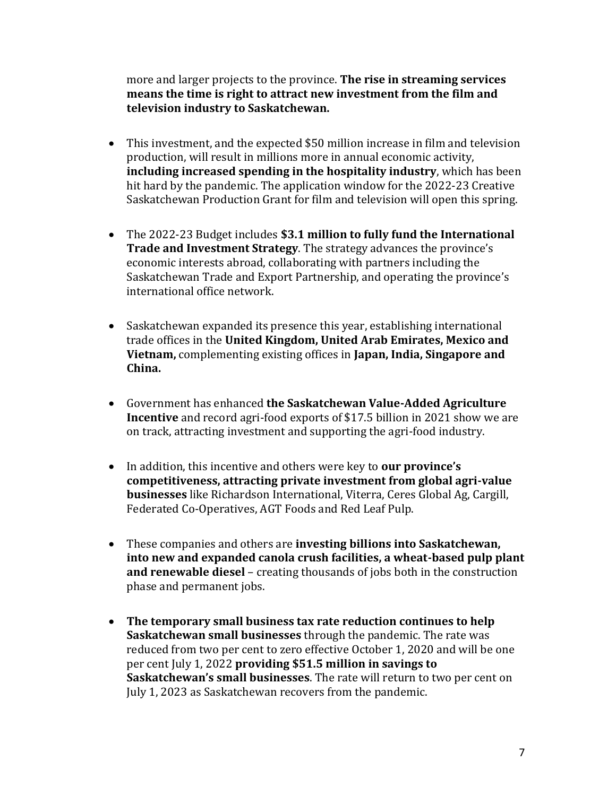more and larger projects to the province. **The rise in streaming services means the time is right to attract new investment from the film and television industry to Saskatchewan.** 

- This investment, and the expected \$50 million increase in film and television production, will result in millions more in annual economic activity, **including increased spending in the hospitality industry**, which has been hit hard by the pandemic. The application window for the 2022-23 Creative Saskatchewan Production Grant for film and television will open this spring.
- The 2022-23 Budget includes **\$3.1 million to fully fund the International Trade and Investment Strategy**. The strategy advances the province's economic interests abroad, collaborating with partners including the Saskatchewan Trade and Export Partnership, and operating the province's international office network.
- Saskatchewan expanded its presence this year, establishing international trade offices in the **United Kingdom, United Arab Emirates, Mexico and Vietnam,** complementing existing offices in **Japan, India, Singapore and China.**
- Government has enhanced **the Saskatchewan Value-Added Agriculture Incentive** and record agri-food exports of \$17.5 billion in 2021 show we are on track, attracting investment and supporting the agri-food industry.
- In addition, this incentive and others were key to **our province's competitiveness, attracting private investment from global agri-value businesses** like Richardson International, Viterra, Ceres Global Ag, Cargill, Federated Co-Operatives, AGT Foods and Red Leaf Pulp.
- These companies and others are **investing billions into Saskatchewan, into new and expanded canola crush facilities, a wheat-based pulp plant and renewable diesel** – creating thousands of jobs both in the construction phase and permanent jobs.
- **The temporary small business tax rate reduction continues to help Saskatchewan small businesses** through the pandemic. The rate was reduced from two per cent to zero effective October 1, 2020 and will be one per cent July 1, 2022 **providing \$51.5 million in savings to Saskatchewan's small businesses**. The rate will return to two per cent on July 1, 2023 as Saskatchewan recovers from the pandemic.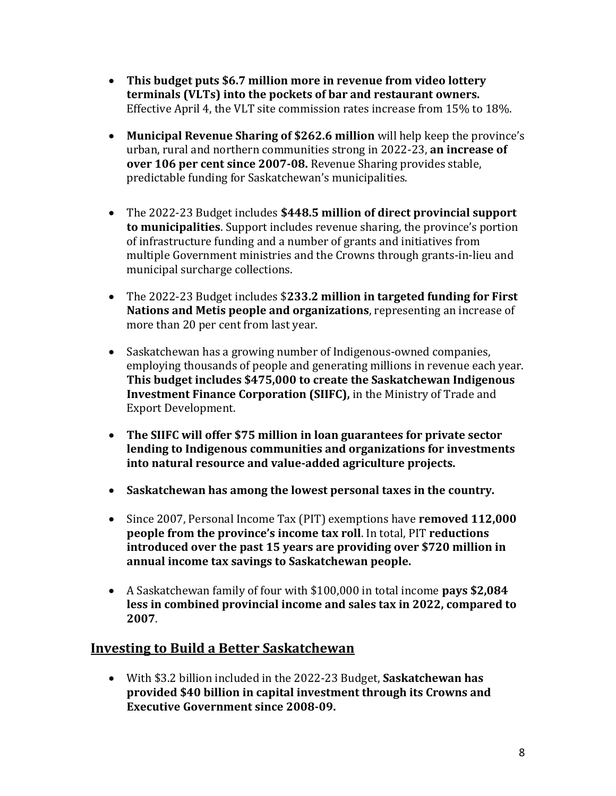- **This budget puts \$6.7 million more in revenue from video lottery terminals (VLTs) into the pockets of bar and restaurant owners.**  Effective April 4, the VLT site commission rates increase from 15% to 18%.
- **Municipal Revenue Sharing of \$262.6 million** will help keep the province's urban, rural and northern communities strong in 2022-23, **an increase of over 106 per cent since 2007-08.** Revenue Sharing provides stable, predictable funding for Saskatchewan's municipalities.
- The 2022-23 Budget includes **\$448.5 million of direct provincial support to municipalities**. Support includes revenue sharing, the province's portion of infrastructure funding and a number of grants and initiatives from multiple Government ministries and the Crowns through grants-in-lieu and municipal surcharge collections.
- The 2022-23 Budget includes \$**233.2 million in targeted funding for First Nations and Metis people and organizations**, representing an increase of more than 20 per cent from last year.
- Saskatchewan has a growing number of Indigenous-owned companies, employing thousands of people and generating millions in revenue each year. **This budget includes \$475,000 to create the Saskatchewan Indigenous Investment Finance Corporation (SIIFC),** in the Ministry of Trade and Export Development.
- **The SIIFC will offer \$75 million in loan guarantees for private sector lending to Indigenous communities and organizations for investments into natural resource and value-added agriculture projects.**
- **Saskatchewan has among the lowest personal taxes in the country.**
- Since 2007, Personal Income Tax (PIT) exemptions have **removed 112,000 people from the province's income tax roll**. In total, PIT **reductions introduced over the past 15 years are providing over \$720 million in annual income tax savings to Saskatchewan people.**
- A Saskatchewan family of four with \$100,000 in total income **pays \$2,084 less in combined provincial income and sales tax in 2022, compared to 2007**.

## **Investing to Build a Better Saskatchewan**

 With \$3.2 billion included in the 2022-23 Budget, **Saskatchewan has provided \$40 billion in capital investment through its Crowns and Executive Government since 2008-09.**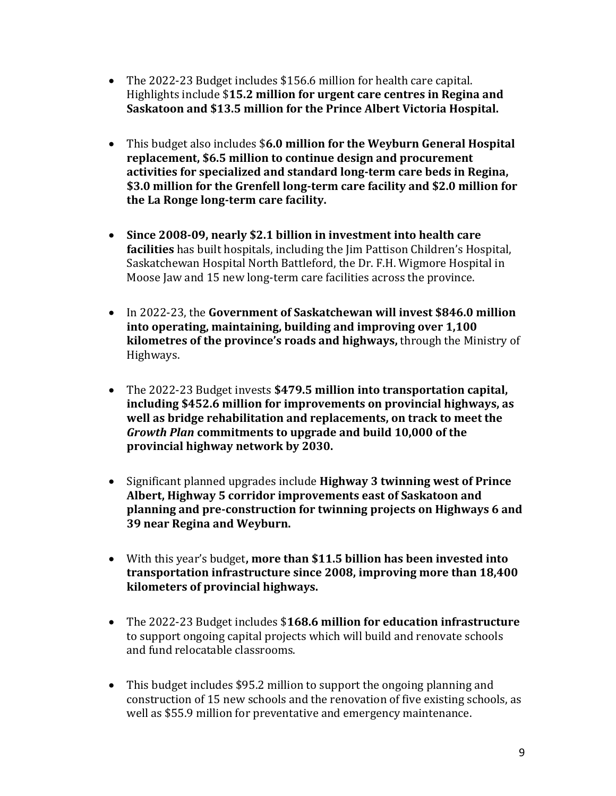- The 2022-23 Budget includes \$156.6 million for health care capital. Highlights include \$**15.2 million for urgent care centres in Regina and Saskatoon and \$13.5 million for the Prince Albert Victoria Hospital.**
- This budget also includes \$**6.0 million for the Weyburn General Hospital replacement, \$6.5 million to continue design and procurement activities for specialized and standard long-term care beds in Regina, \$3.0 million for the Grenfell long-term care facility and \$2.0 million for the La Ronge long-term care facility.**
- **Since 2008-09, nearly \$2.1 billion in investment into health care facilities** has built hospitals, including the Jim Pattison Children's Hospital, Saskatchewan Hospital North Battleford, the Dr. F.H. Wigmore Hospital in Moose Jaw and 15 new long-term care facilities across the province.
- In 2022-23, the **Government of Saskatchewan will invest \$846.0 million into operating, maintaining, building and improving over 1,100 kilometres of the province's roads and highways,** through the Ministry of Highways.
- The 2022-23 Budget invests **\$479.5 million into transportation capital, including \$452.6 million for improvements on provincial highways, as well as bridge rehabilitation and replacements, on track to meet the**  *Growth Plan* **commitments to upgrade and build 10,000 of the provincial highway network by 2030.**
- Significant planned upgrades include **Highway 3 twinning west of Prince Albert, Highway 5 corridor improvements east of Saskatoon and planning and pre-construction for twinning projects on Highways 6 and 39 near Regina and Weyburn.**
- With this year's budget**, more than \$11.5 billion has been invested into transportation infrastructure since 2008, improving more than 18,400 kilometers of provincial highways.**
- The 2022-23 Budget includes \$**168.6 million for education infrastructure** to support ongoing capital projects which will build and renovate schools and fund relocatable classrooms.
- This budget includes \$95.2 million to support the ongoing planning and construction of 15 new schools and the renovation of five existing schools, as well as \$55.9 million for preventative and emergency maintenance.